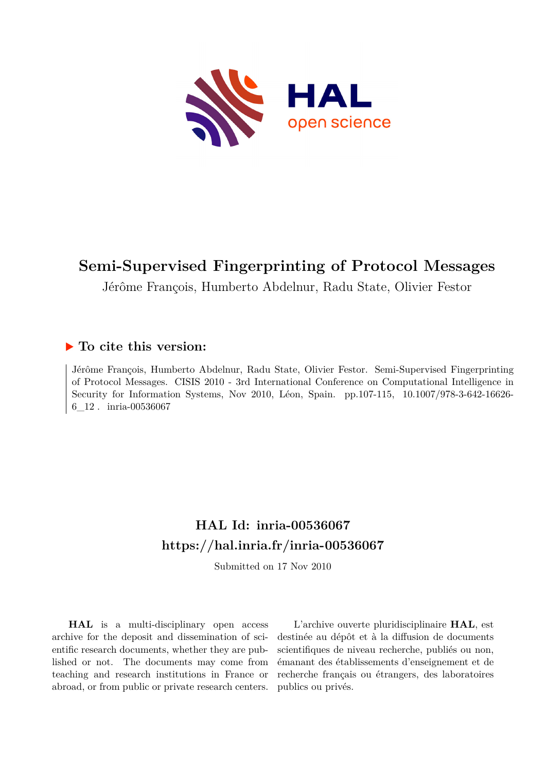

# **Semi-Supervised Fingerprinting of Protocol Messages**

Jérôme François, Humberto Abdelnur, Radu State, Olivier Festor

# **To cite this version:**

Jérôme François, Humberto Abdelnur, Radu State, Olivier Festor. Semi-Supervised Fingerprinting of Protocol Messages. CISIS 2010 - 3rd International Conference on Computational Intelligence in Security for Information Systems, Nov 2010, Léon, Spain. pp.107-115, 10.1007/978-3-642-16626-6 12. inria-00536067

# **HAL Id: inria-00536067 <https://hal.inria.fr/inria-00536067>**

Submitted on 17 Nov 2010

**HAL** is a multi-disciplinary open access archive for the deposit and dissemination of scientific research documents, whether they are published or not. The documents may come from teaching and research institutions in France or abroad, or from public or private research centers.

L'archive ouverte pluridisciplinaire **HAL**, est destinée au dépôt et à la diffusion de documents scientifiques de niveau recherche, publiés ou non, émanant des établissements d'enseignement et de recherche français ou étrangers, des laboratoires publics ou privés.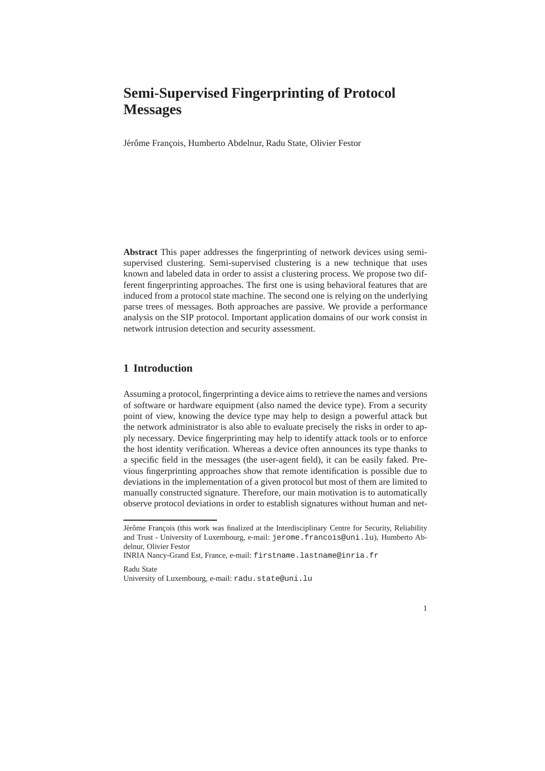# **Semi-Supervised Fingerprinting of Protocol Messages**

Jérôme François, Humberto Abdelnur, Radu State, Olivier Festor

**Abstract** This paper addresses the fingerprinting of network devices using semisupervised clustering. Semi-supervised clustering is a new technique that uses known and labeled data in order to assist a clustering process. We propose two different fingerprinting approaches. The first one is using behavioral features that are induced from a protocol state machine. The second one is relying on the underlying parse trees of messages. Both approaches are passive. We provide a performance analysis on the SIP protocol. Important application domains of our work consist in network intrusion detection and security assessment.

# **1 Introduction**

Assuming a protocol, fingerprinting a device aims to retrieve the names and versions of software or hardware equipment (also named the device type). From a security point of view, knowing the device type may help to design a powerful attack but the network administrator is also able to evaluate precisely the risks in order to apply necessary. Device fingerprinting may help to identify attack tools or to enforce the host identity verification. Whereas a device often announces its type thanks to a specific field in the messages (the user-agent field), it can be easily faked. Previous fingerprinting approaches show that remote identification is possible due to deviations in the implementation of a given protocol but most of them are limited to manually constructed signature. Therefore, our main motivation is to automatically observe protocol deviations in order to establish signatures without human and net-



Jérôme François (this work was finalized at the Interdisciplinary Centre for Security, Reliability and Trust - University of Luxembourg, e-mail: jerome.francois@uni.lu), Humberto Abdelnur, Olivier Festor

INRIA Nancy-Grand Est, France, e-mail: firstname.lastname@inria.fr

Radu State University of Luxembourg, e-mail: radu.state@uni.lu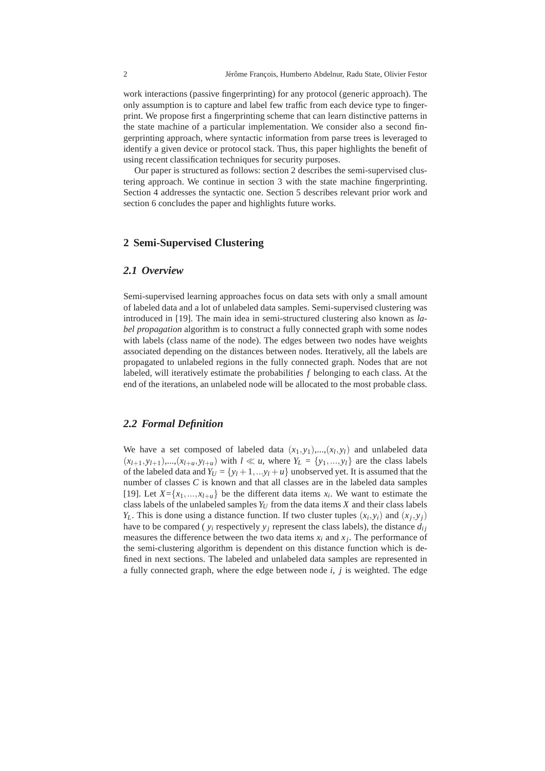work interactions (passive fingerprinting) for any protocol (generic approach). The only assumption is to capture and label few traffic from each device type to fingerprint. We propose first a fingerprinting scheme that can learn distinctive patterns in the state machine of a particular implementation. We consider also a second fingerprinting approach, where syntactic information from parse trees is leveraged to identify a given device or protocol stack. Thus, this paper highlights the benefit of using recent classification techniques for security purposes.

Our paper is structured as follows: section 2 describes the semi-supervised clustering approach. We continue in section 3 with the state machine fingerprinting. Section 4 addresses the syntactic one. Section 5 describes relevant prior work and section 6 concludes the paper and highlights future works.

## **2 Semi-Supervised Clustering**

## *2.1 Overview*

Semi-supervised learning approaches focus on data sets with only a small amount of labeled data and a lot of unlabeled data samples. Semi-supervised clustering was introduced in [19]. The main idea in semi-structured clustering also known as *label propagation* algorithm is to construct a fully connected graph with some nodes with labels (class name of the node). The edges between two nodes have weights associated depending on the distances between nodes. Iteratively, all the labels are propagated to unlabeled regions in the fully connected graph. Nodes that are not labeled, will iteratively estimate the probabilities *f* belonging to each class. At the end of the iterations, an unlabeled node will be allocated to the most probable class.

## *2.2 Formal Definition*

We have a set composed of labeled data  $(x_1, y_1),..., (x_l, y_l)$  and unlabeled data  $(x_{l+1}, y_{l+1}), \ldots, (x_{l+u}, y_{l+u})$  with  $l \ll u$ , where  $Y_L = \{y_1, \ldots, y_l\}$  are the class labels of the labeled data and  $Y_U = \{y_l + 1, \ldots, y_l + u\}$  unobserved yet. It is assumed that the number of classes *C* is known and that all classes are in the labeled data samples [19]. Let  $X = \{x_1, \ldots, x_{l+u}\}\)$  be the different data items  $x_i$ . We want to estimate the class labels of the unlabeled samples  $Y_U$  from the data items  $X$  and their class labels *Y*<sub>*L*</sub>. This is done using a distance function. If two cluster tuples  $(x_i, y_i)$  and  $(x_j, y_j)$ have to be compared ( $y_i$  respectively  $y_j$  represent the class labels), the distance  $d_{ij}$ measures the difference between the two data items  $x_i$  and  $x_j$ . The performance of the semi-clustering algorithm is dependent on this distance function which is defined in next sections. The labeled and unlabeled data samples are represented in a fully connected graph, where the edge between node *i*, *j* is weighted. The edge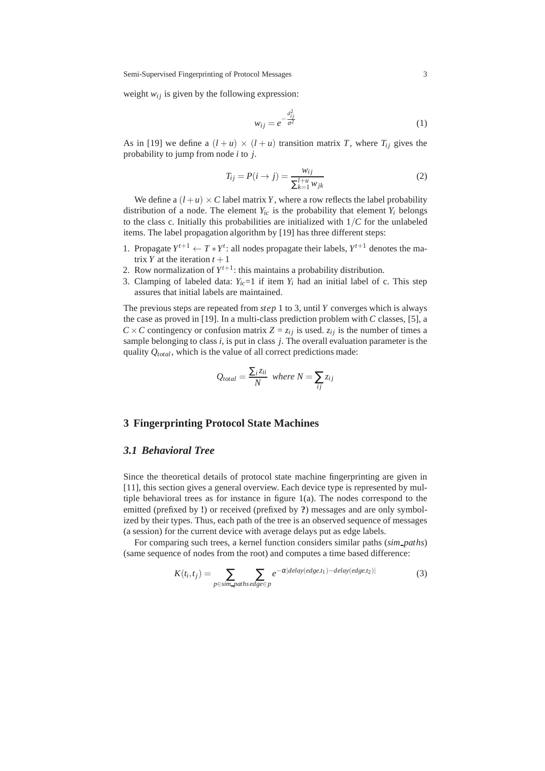Semi-Supervised Fingerprinting of Protocol Messages 3

weight  $w_{ij}$  is given by the following expression:

$$
w_{ij} = e^{-\frac{d_{ij}^2}{\sigma^2}}
$$
 (1)

As in [19] we define a  $(l+u) \times (l+u)$  transition matrix *T*, where  $T_{ij}$  gives the probability to jump from node *i* to *j*.

$$
T_{ij} = P(i \to j) = \frac{w_{ij}}{\sum_{k=1}^{l+u} w_{jk}}
$$
 (2)

We define a  $(l+u) \times C$  label matrix *Y*, where a row reflects the label probability distribution of a node. The element  $Y_i$ <sup>*ic*</sup> is the probability that element  $Y_i$  belongs to the class c. Initially this probabilities are initialized with  $1/C$  for the unlabeled items. The label propagation algorithm by [19] has three different steps:

- 1. Propagate  $Y^{t+1} \leftarrow T * Y^t$ : all nodes propagate their labels,  $Y^{t+1}$  denotes the matrix *Y* at the iteration  $t + 1$
- 2. Row normalization of  $Y^{t+1}$ : this maintains a probability distribution.
- 3. Clamping of labeled data:  $Y_i = 1$  if item  $Y_i$  had an initial label of c. This step assures that initial labels are maintained.

The previous steps are repeated from *step* 1 to 3, until *Y* converges which is always the case as proved in [19]. In a multi-class prediction problem with *C* classes, [5], a  $C \times C$  contingency or confusion matrix  $Z = z_{ij}$  is used.  $z_{ij}$  is the number of times a sample belonging to class *i*, is put in class *j*. The overall evaluation parameter is the quality *Qtotal* , which is the value of all correct predictions made:

$$
Q_{total} = \frac{\sum_{i} z_{ii}}{N} \text{ where } N = \sum_{ij} z_{ij}
$$

#### **3 Fingerprinting Protocol State Machines**

#### *3.1 Behavioral Tree*

Since the theoretical details of protocol state machine fingerprinting are given in [11], this section gives a general overview. Each device type is represented by multiple behavioral trees as for instance in figure 1(a). The nodes correspond to the emitted (prefixed by **!**) or received (prefixed by **?**) messages and are only symbolized by their types. Thus, each path of the tree is an observed sequence of messages (a session) for the current device with average delays put as edge labels.

For comparing such trees, a kernel function considers similar paths (*sim paths*) (same sequence of nodes from the root) and computes a time based difference:

$$
K(t_i, t_j) = \sum_{p \in \text{sim-paths edge} \in p} e^{-\alpha |delay(e dge, t_1) - delay(e dge, t_2)|}
$$
(3)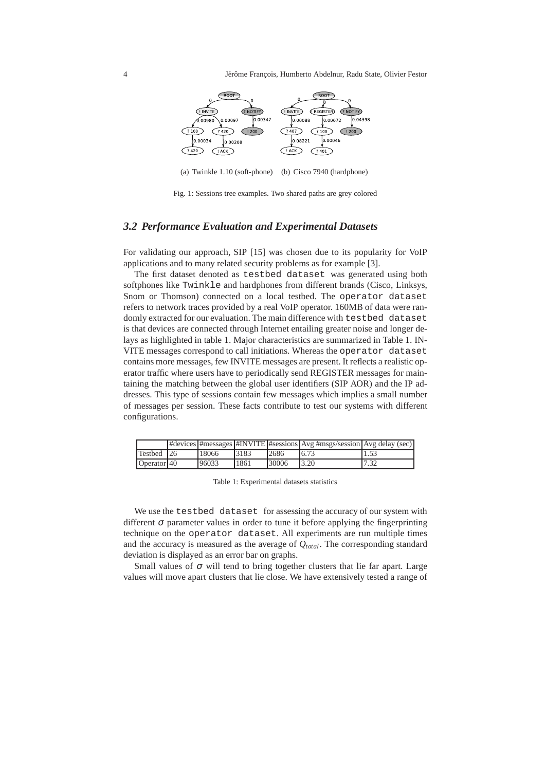

(a) Twinkle 1.10 (soft-phone) (b) Cisco 7940 (hardphone)

Fig. 1: Sessions tree examples. Two shared paths are grey colored

### *3.2 Performance Evaluation and Experimental Datasets*

For validating our approach, SIP [15] was chosen due to its popularity for VoIP applications and to many related security problems as for example [3].

The first dataset denoted as testbed dataset was generated using both softphones like Twinkle and hardphones from different brands (Cisco, Linksys, Snom or Thomson) connected on a local testbed. The operator dataset refers to network traces provided by a real VoIP operator. 160MB of data were randomly extracted for our evaluation. The main difference with testbed dataset is that devices are connected through Internet entailing greater noise and longer delays as highlighted in table 1. Major characteristics are summarized in Table 1. IN-VITE messages correspond to call initiations. Whereas the operator dataset contains more messages, few INVITE messages are present. It reflects a realistic operator traffic where users have to periodically send REGISTER messages for maintaining the matching between the global user identifiers (SIP AOR) and the IP addresses. This type of sessions contain few messages which implies a small number of messages per session. These facts contribute to test our systems with different configurations.

|                         |       |      |       | $\#$ devices $\#$ messages $\#$ INVITE $\#$ sessions $\{Avg \#$ msgs/session $\{Avg \text{ delay} (\text{sec})\}$ |      |
|-------------------------|-------|------|-------|-------------------------------------------------------------------------------------------------------------------|------|
| Testbed 26              | 18066 | 3183 | 12686 | 6.73                                                                                                              | 1.53 |
| Operator <sup>140</sup> | 96033 | 1861 | 30006 | 13.20                                                                                                             | 7.32 |

Table 1: Experimental datasets statistics

We use the testbed dataset for assessing the accuracy of our system with different  $\sigma$  parameter values in order to tune it before applying the fingerprinting technique on the operator dataset. All experiments are run multiple times and the accuracy is measured as the average of *Qtotal*. The corresponding standard deviation is displayed as an error bar on graphs.

Small values of  $\sigma$  will tend to bring together clusters that lie far apart. Large values will move apart clusters that lie close. We have extensively tested a range of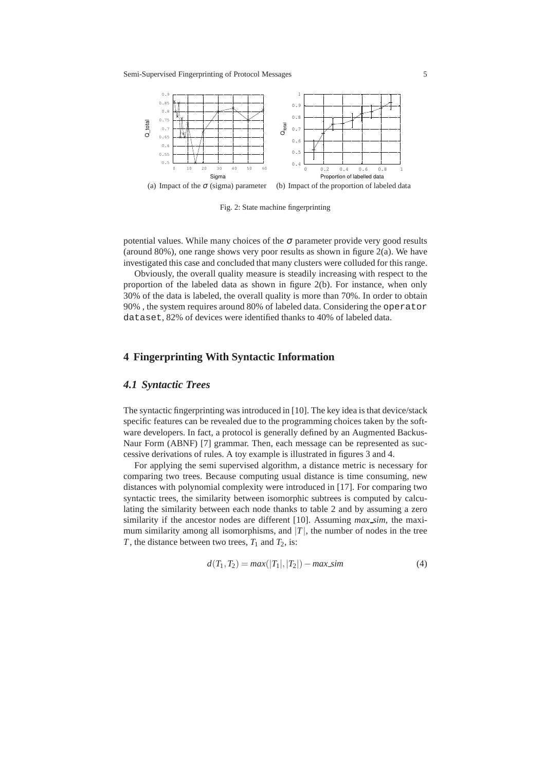

Fig. 2: State machine fingerprinting

potential values. While many choices of the  $\sigma$  parameter provide very good results (around 80%), one range shows very poor results as shown in figure  $2(a)$ . We have investigated this case and concluded that many clusters were colluded for this range.

Obviously, the overall quality measure is steadily increasing with respect to the proportion of the labeled data as shown in figure 2(b). For instance, when only 30% of the data is labeled, the overall quality is more than 70%. In order to obtain 90% , the system requires around 80% of labeled data. Considering the operator dataset, 82% of devices were identified thanks to 40% of labeled data.

# **4 Fingerprinting With Syntactic Information**

#### *4.1 Syntactic Trees*

The syntactic fingerprinting was introduced in [10]. The key idea is that device/stack specific features can be revealed due to the programming choices taken by the software developers. In fact, a protocol is generally defined by an Augmented Backus-Naur Form (ABNF) [7] grammar. Then, each message can be represented as successive derivations of rules. A toy example is illustrated in figures 3 and 4.

For applying the semi supervised algorithm, a distance metric is necessary for comparing two trees. Because computing usual distance is time consuming, new distances with polynomial complexity were introduced in [17]. For comparing two syntactic trees, the similarity between isomorphic subtrees is computed by calculating the similarity between each node thanks to table 2 and by assuming a zero similarity if the ancestor nodes are different [10]. Assuming *max sim*, the maximum similarity among all isomorphisms, and  $|T|$ , the number of nodes in the tree *T*, the distance between two trees,  $T_1$  and  $T_2$ , is:

$$
d(T_1, T_2) = max(|T_1|, |T_2|) - max\_sim
$$
 (4)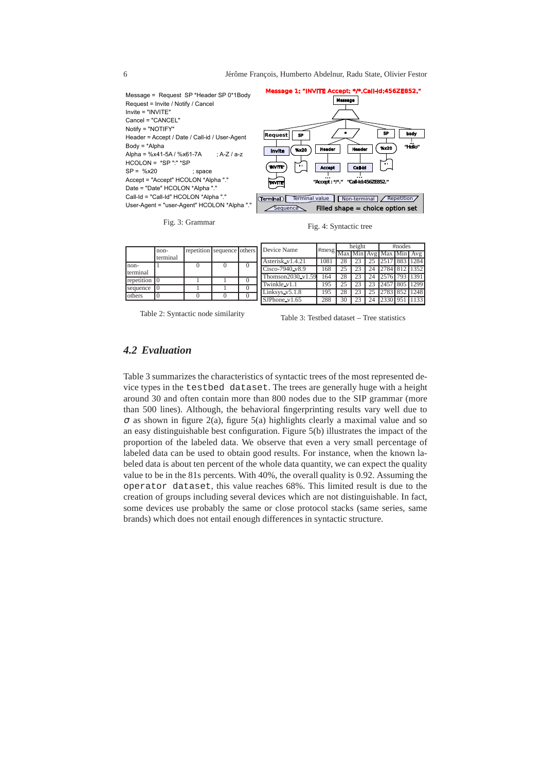6 Jérôme François, Humberto Abdelnur, Radu State, Olivier Festor



|                  | repetition sequence others |  |  |          | Device Name       |                               | height |  | #nodes |               |  |               |
|------------------|----------------------------|--|--|----------|-------------------|-------------------------------|--------|--|--------|---------------|--|---------------|
|                  | non-<br>terminal           |  |  |          |                   | #mesg Max Min Avg Max Min Avg |        |  |        |               |  |               |
|                  |                            |  |  |          | Asterisk v1.4.21  | 1081                          |        |  |        | 2517 883 1284 |  |               |
| non-<br>terminal |                            |  |  | $\Omega$ | Cisco-7940_v8.9   | 168                           | 25     |  | 24     | 2784 812 1352 |  |               |
|                  |                            |  |  |          | Thomson2030_v1.59 | 164                           |        |  | 24     | 2576 793 1391 |  |               |
| repetition       |                            |  |  |          | Twinkle v1.1      | 195                           |        |  |        |               |  | 2457 805 1299 |
| sequence         |                            |  |  |          | Linksys_v5.1.8    | 195                           |        |  |        |               |  | 2783 852 1248 |
| others           |                            |  |  |          | $S$ JPhone_v1.65  | 288                           | 30     |  | 24     | 2330 951      |  | 1133          |

Table 2: Syntactic node similarity

Table 3: Testbed dataset – Tree statistics

# *4.2 Evaluation*

Table 3 summarizes the characteristics of syntactic trees of the most represented device types in the testbed dataset. The trees are generally huge with a height around 30 and often contain more than 800 nodes due to the SIP grammar (more than 500 lines). Although, the behavioral fingerprinting results vary well due to  $\sigma$  as shown in figure 2(a), figure 5(a) highlights clearly a maximal value and so an easy distinguishable best configuration. Figure 5(b) illustrates the impact of the proportion of the labeled data. We observe that even a very small percentage of labeled data can be used to obtain good results. For instance, when the known labeled data is about ten percent of the whole data quantity, we can expect the quality value to be in the 81s percents. With 40%, the overall quality is 0.92. Assuming the operator dataset, this value reaches 68%. This limited result is due to the creation of groups including several devices which are not distinguishable. In fact, some devices use probably the same or close protocol stacks (same series, same brands) which does not entail enough differences in syntactic structure.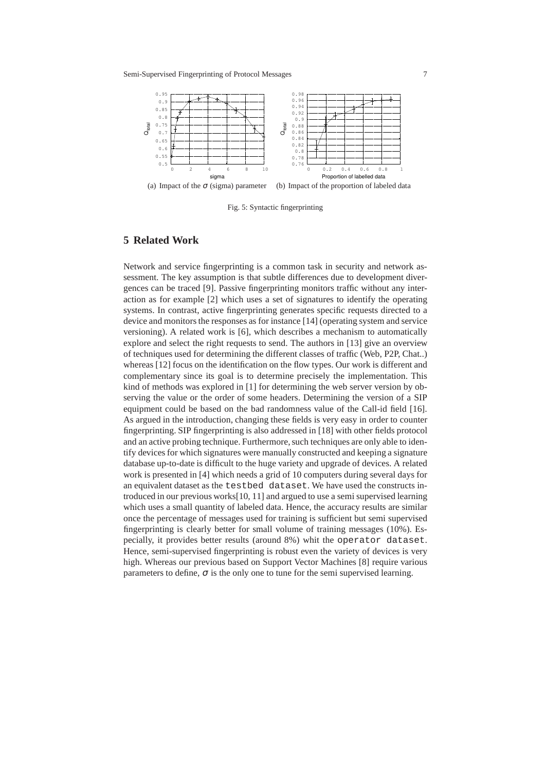

Fig. 5: Syntactic fingerprinting

# **5 Related Work**

Network and service fingerprinting is a common task in security and network assessment. The key assumption is that subtle differences due to development divergences can be traced [9]. Passive fingerprinting monitors traffic without any interaction as for example [2] which uses a set of signatures to identify the operating systems. In contrast, active fingerprinting generates specific requests directed to a device and monitors the responses as for instance [14] (operating system and service versioning). A related work is [6], which describes a mechanism to automatically explore and select the right requests to send. The authors in [13] give an overview of techniques used for determining the different classes of traffic (Web, P2P, Chat..) whereas [12] focus on the identification on the flow types. Our work is different and complementary since its goal is to determine precisely the implementation. This kind of methods was explored in [1] for determining the web server version by observing the value or the order of some headers. Determining the version of a SIP equipment could be based on the bad randomness value of the Call-id field [16]. As argued in the introduction, changing these fields is very easy in order to counter fingerprinting. SIP fingerprinting is also addressed in [18] with other fields protocol and an active probing technique. Furthermore, such techniques are only able to identify devices for which signatures were manually constructed and keeping a signature database up-to-date is difficult to the huge variety and upgrade of devices. A related work is presented in [4] which needs a grid of 10 computers during several days for an equivalent dataset as the testbed dataset. We have used the constructs introduced in our previous works[10, 11] and argued to use a semi supervised learning which uses a small quantity of labeled data. Hence, the accuracy results are similar once the percentage of messages used for training is sufficient but semi supervised fingerprinting is clearly better for small volume of training messages (10%). Especially, it provides better results (around 8%) whit the operator dataset. Hence, semi-supervised fingerprinting is robust even the variety of devices is very high. Whereas our previous based on Support Vector Machines [8] require various parameters to define,  $\sigma$  is the only one to tune for the semi supervised learning.